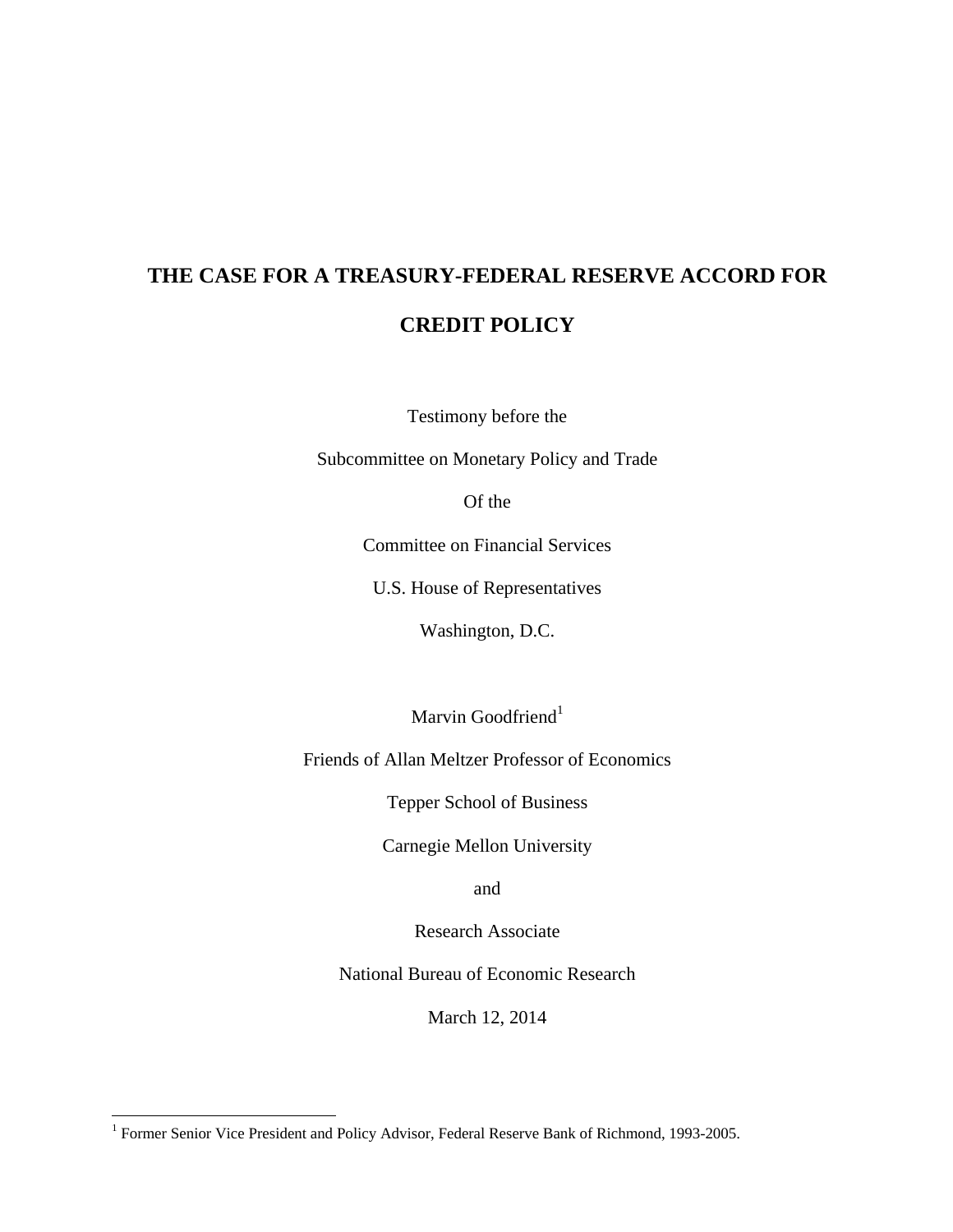# **THE CASE FOR A TREASURY-FEDERAL RESERVE ACCORD FOR CREDIT POLICY**

Testimony before the

Subcommittee on Monetary Policy and Trade

Of the

Committee on Financial Services

U.S. House of Representatives

Washington, D.C.

Marvin Goodfriend $1$ 

Friends of Allan Meltzer Professor of Economics

Tepper School of Business

Carnegie Mellon University

and

Research Associate

National Bureau of Economic Research

March 12, 2014

<sup>&</sup>lt;sup>1</sup> Former Senior Vice President and Policy Advisor, Federal Reserve Bank of Richmond, 1993-2005.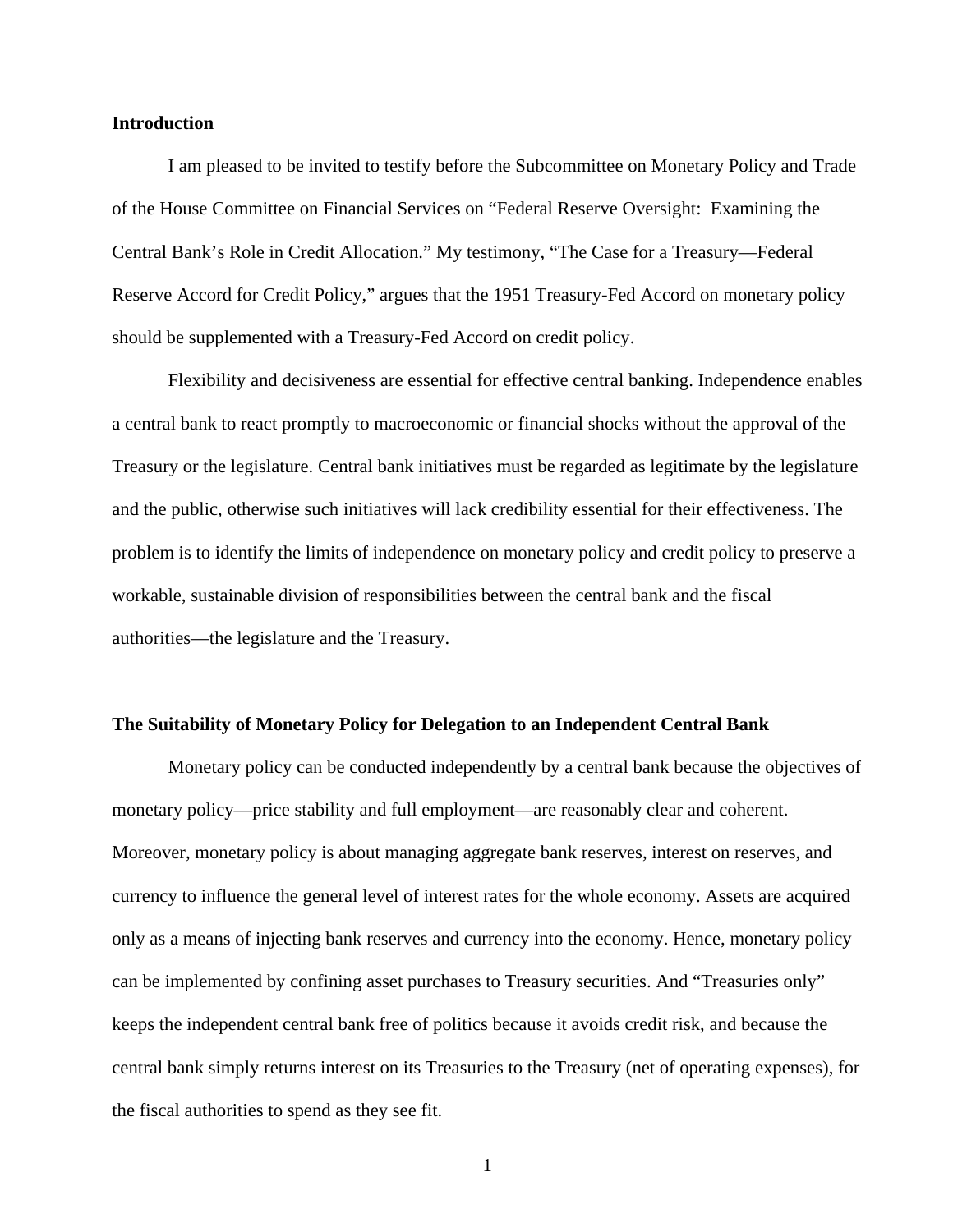## **Introduction**

I am pleased to be invited to testify before the Subcommittee on Monetary Policy and Trade of the House Committee on Financial Services on "Federal Reserve Oversight: Examining the Central Bank's Role in Credit Allocation." My testimony, "The Case for a Treasury—Federal Reserve Accord for Credit Policy," argues that the 1951 Treasury-Fed Accord on monetary policy should be supplemented with a Treasury-Fed Accord on credit policy.

Flexibility and decisiveness are essential for effective central banking. Independence enables a central bank to react promptly to macroeconomic or financial shocks without the approval of the Treasury or the legislature. Central bank initiatives must be regarded as legitimate by the legislature and the public, otherwise such initiatives will lack credibility essential for their effectiveness. The problem is to identify the limits of independence on monetary policy and credit policy to preserve a workable, sustainable division of responsibilities between the central bank and the fiscal authorities—the legislature and the Treasury.

#### **The Suitability of Monetary Policy for Delegation to an Independent Central Bank**

Monetary policy can be conducted independently by a central bank because the objectives of monetary policy—price stability and full employment—are reasonably clear and coherent. Moreover, monetary policy is about managing aggregate bank reserves, interest on reserves, and currency to influence the general level of interest rates for the whole economy. Assets are acquired only as a means of injecting bank reserves and currency into the economy. Hence, monetary policy can be implemented by confining asset purchases to Treasury securities. And "Treasuries only" keeps the independent central bank free of politics because it avoids credit risk, and because the central bank simply returns interest on its Treasuries to the Treasury (net of operating expenses), for the fiscal authorities to spend as they see fit.

1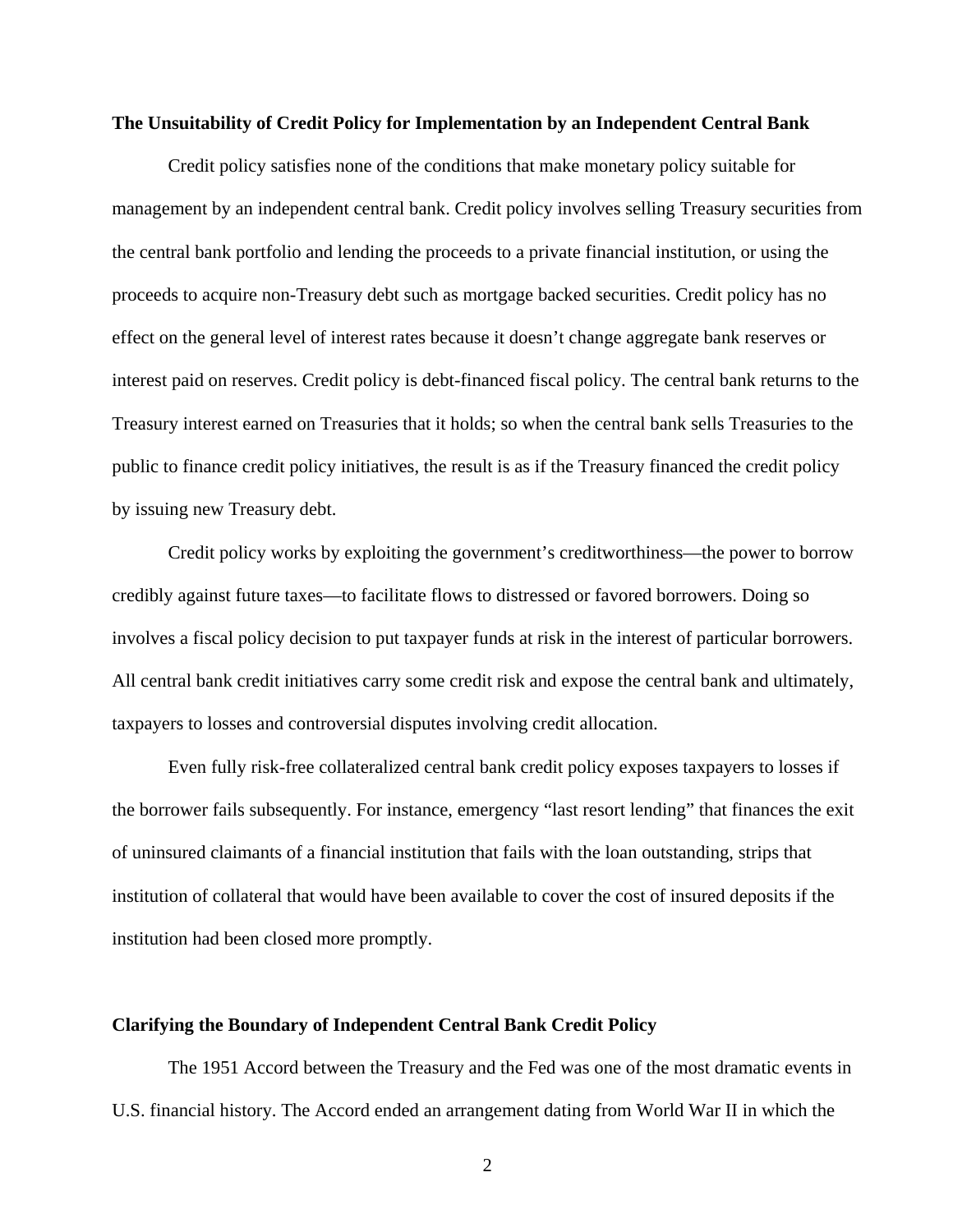# **The Unsuitability of Credit Policy for Implementation by an Independent Central Bank**

Credit policy satisfies none of the conditions that make monetary policy suitable for management by an independent central bank. Credit policy involves selling Treasury securities from the central bank portfolio and lending the proceeds to a private financial institution, or using the proceeds to acquire non-Treasury debt such as mortgage backed securities. Credit policy has no effect on the general level of interest rates because it doesn't change aggregate bank reserves or interest paid on reserves. Credit policy is debt-financed fiscal policy. The central bank returns to the Treasury interest earned on Treasuries that it holds; so when the central bank sells Treasuries to the public to finance credit policy initiatives, the result is as if the Treasury financed the credit policy by issuing new Treasury debt.

Credit policy works by exploiting the government's creditworthiness—the power to borrow credibly against future taxes—to facilitate flows to distressed or favored borrowers. Doing so involves a fiscal policy decision to put taxpayer funds at risk in the interest of particular borrowers. All central bank credit initiatives carry some credit risk and expose the central bank and ultimately, taxpayers to losses and controversial disputes involving credit allocation.

Even fully risk-free collateralized central bank credit policy exposes taxpayers to losses if the borrower fails subsequently. For instance, emergency "last resort lending" that finances the exit of uninsured claimants of a financial institution that fails with the loan outstanding, strips that institution of collateral that would have been available to cover the cost of insured deposits if the institution had been closed more promptly.

#### **Clarifying the Boundary of Independent Central Bank Credit Policy**

The 1951 Accord between the Treasury and the Fed was one of the most dramatic events in U.S. financial history. The Accord ended an arrangement dating from World War II in which the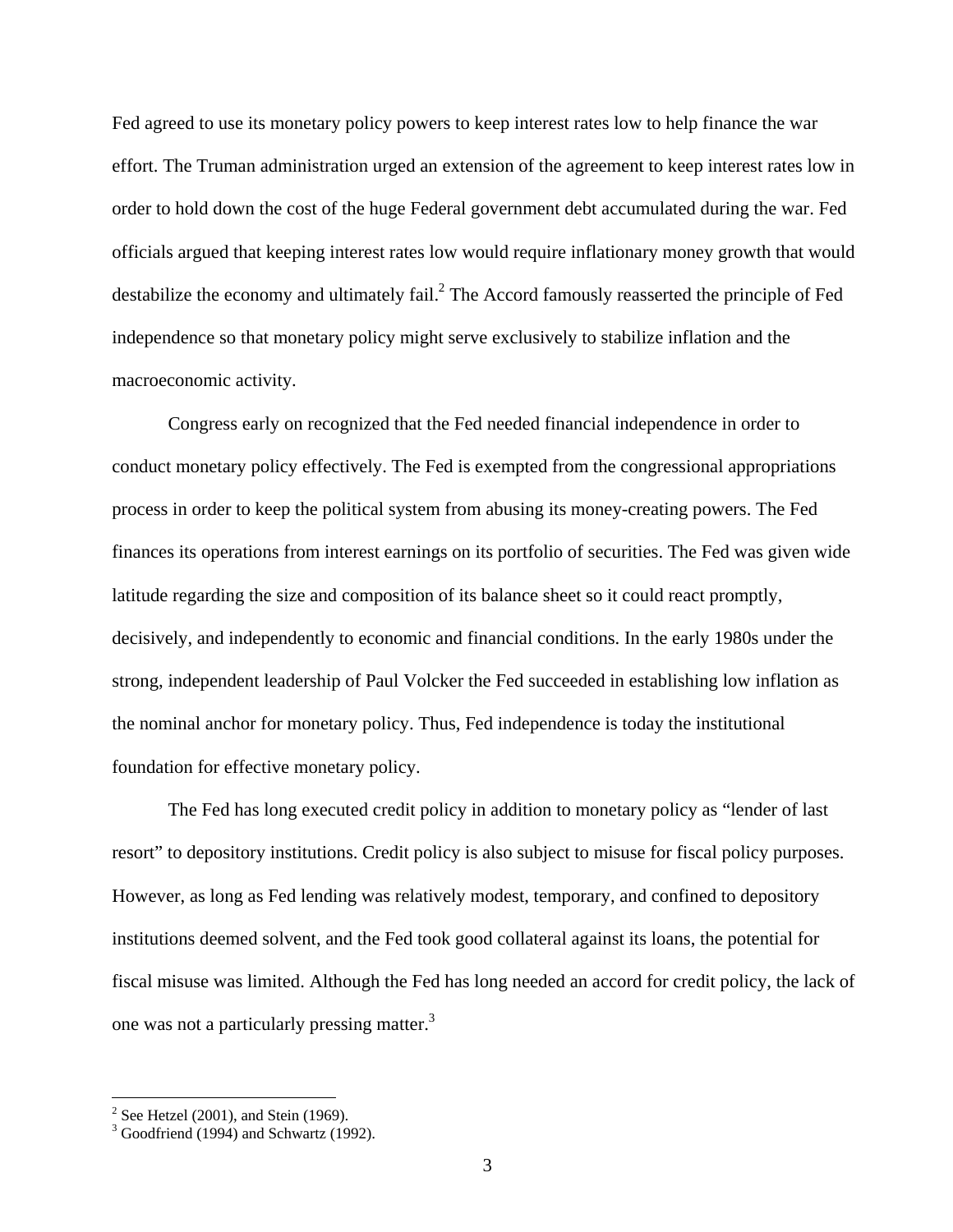Fed agreed to use its monetary policy powers to keep interest rates low to help finance the war effort. The Truman administration urged an extension of the agreement to keep interest rates low in order to hold down the cost of the huge Federal government debt accumulated during the war. Fed officials argued that keeping interest rates low would require inflationary money growth that would destabilize the economy and ultimately fail.<sup>2</sup> The Accord famously reasserted the principle of Fed independence so that monetary policy might serve exclusively to stabilize inflation and the macroeconomic activity.

Congress early on recognized that the Fed needed financial independence in order to conduct monetary policy effectively. The Fed is exempted from the congressional appropriations process in order to keep the political system from abusing its money-creating powers. The Fed finances its operations from interest earnings on its portfolio of securities. The Fed was given wide latitude regarding the size and composition of its balance sheet so it could react promptly, decisively, and independently to economic and financial conditions. In the early 1980s under the strong, independent leadership of Paul Volcker the Fed succeeded in establishing low inflation as the nominal anchor for monetary policy. Thus, Fed independence is today the institutional foundation for effective monetary policy.

The Fed has long executed credit policy in addition to monetary policy as "lender of last resort" to depository institutions. Credit policy is also subject to misuse for fiscal policy purposes. However, as long as Fed lending was relatively modest, temporary, and confined to depository institutions deemed solvent, and the Fed took good collateral against its loans, the potential for fiscal misuse was limited. Although the Fed has long needed an accord for credit policy, the lack of one was not a particularly pressing matter.<sup>3</sup>

 $\frac{2}{3}$  See Hetzel (2001), and Stein (1969).<br> $\frac{3}{3}$  Goodfriend (1994) and Schwartz (1992).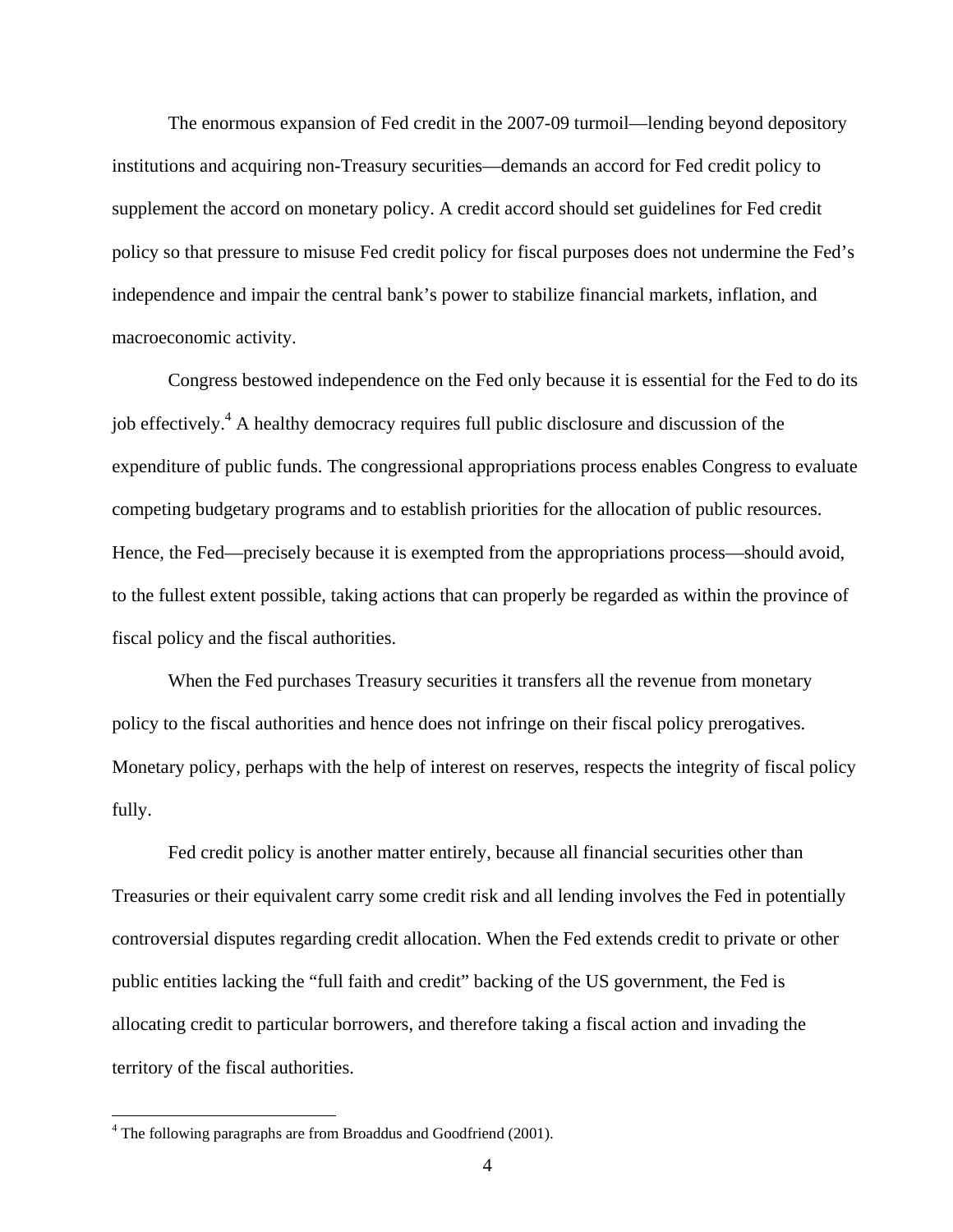The enormous expansion of Fed credit in the 2007-09 turmoil—lending beyond depository institutions and acquiring non-Treasury securities—demands an accord for Fed credit policy to supplement the accord on monetary policy. A credit accord should set guidelines for Fed credit policy so that pressure to misuse Fed credit policy for fiscal purposes does not undermine the Fed's independence and impair the central bank's power to stabilize financial markets, inflation, and macroeconomic activity.

Congress bestowed independence on the Fed only because it is essential for the Fed to do its job effectively.<sup>4</sup> A healthy democracy requires full public disclosure and discussion of the expenditure of public funds. The congressional appropriations process enables Congress to evaluate competing budgetary programs and to establish priorities for the allocation of public resources. Hence, the Fed—precisely because it is exempted from the appropriations process—should avoid, to the fullest extent possible, taking actions that can properly be regarded as within the province of fiscal policy and the fiscal authorities.

When the Fed purchases Treasury securities it transfers all the revenue from monetary policy to the fiscal authorities and hence does not infringe on their fiscal policy prerogatives. Monetary policy, perhaps with the help of interest on reserves, respects the integrity of fiscal policy fully.

Fed credit policy is another matter entirely, because all financial securities other than Treasuries or their equivalent carry some credit risk and all lending involves the Fed in potentially controversial disputes regarding credit allocation. When the Fed extends credit to private or other public entities lacking the "full faith and credit" backing of the US government, the Fed is allocating credit to particular borrowers, and therefore taking a fiscal action and invading the territory of the fiscal authorities.

<sup>&</sup>lt;sup>4</sup> The following paragraphs are from Broaddus and Goodfriend (2001).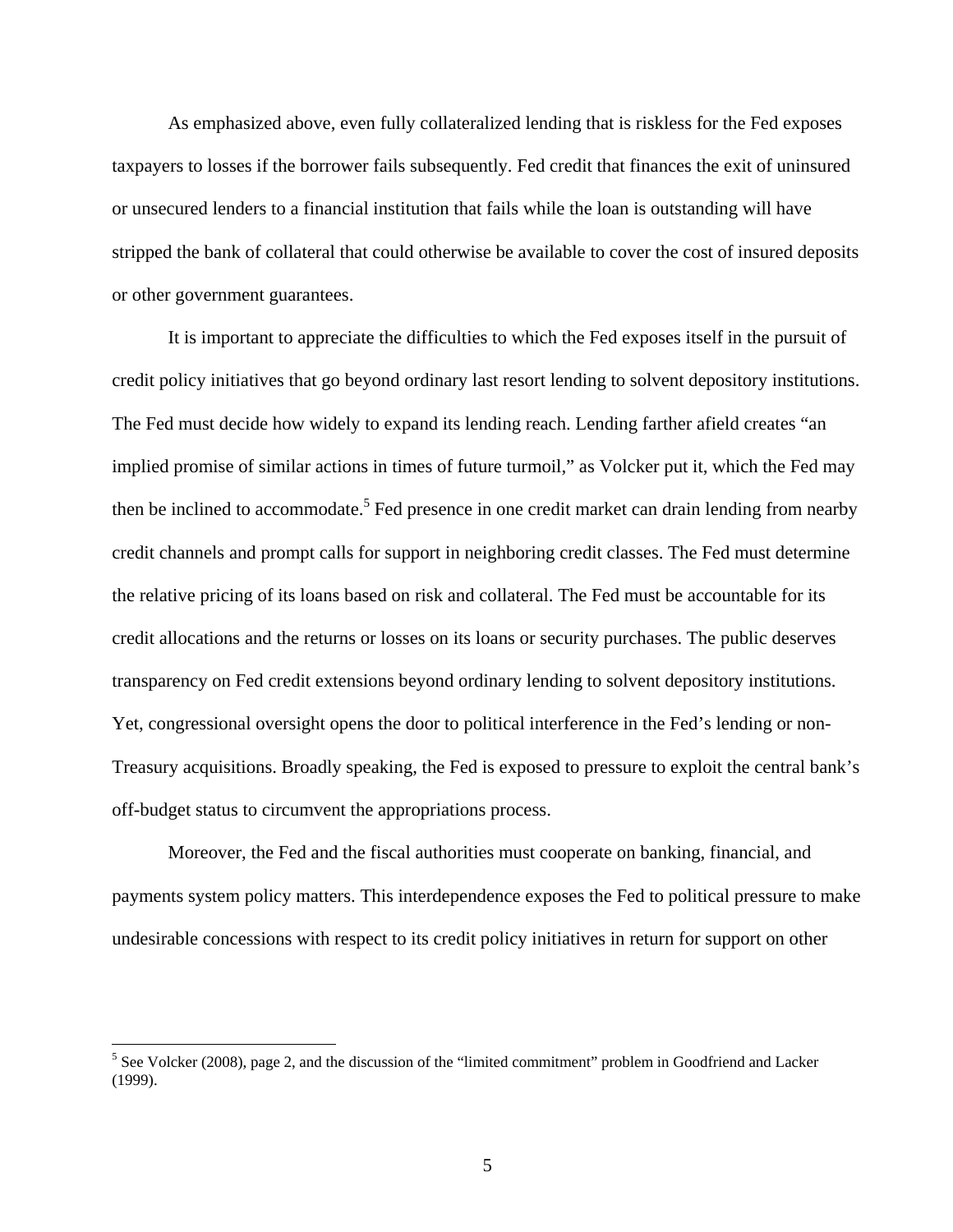As emphasized above, even fully collateralized lending that is riskless for the Fed exposes taxpayers to losses if the borrower fails subsequently. Fed credit that finances the exit of uninsured or unsecured lenders to a financial institution that fails while the loan is outstanding will have stripped the bank of collateral that could otherwise be available to cover the cost of insured deposits or other government guarantees.

It is important to appreciate the difficulties to which the Fed exposes itself in the pursuit of credit policy initiatives that go beyond ordinary last resort lending to solvent depository institutions. The Fed must decide how widely to expand its lending reach. Lending farther afield creates "an implied promise of similar actions in times of future turmoil," as Volcker put it, which the Fed may then be inclined to accommodate.<sup>5</sup> Fed presence in one credit market can drain lending from nearby credit channels and prompt calls for support in neighboring credit classes. The Fed must determine the relative pricing of its loans based on risk and collateral. The Fed must be accountable for its credit allocations and the returns or losses on its loans or security purchases. The public deserves transparency on Fed credit extensions beyond ordinary lending to solvent depository institutions. Yet, congressional oversight opens the door to political interference in the Fed's lending or non-Treasury acquisitions. Broadly speaking, the Fed is exposed to pressure to exploit the central bank's off-budget status to circumvent the appropriations process.

Moreover, the Fed and the fiscal authorities must cooperate on banking, financial, and payments system policy matters. This interdependence exposes the Fed to political pressure to make undesirable concessions with respect to its credit policy initiatives in return for support on other

 $<sup>5</sup>$  See Volcker (2008), page 2, and the discussion of the "limited commitment" problem in Goodfriend and Lacker</sup> (1999).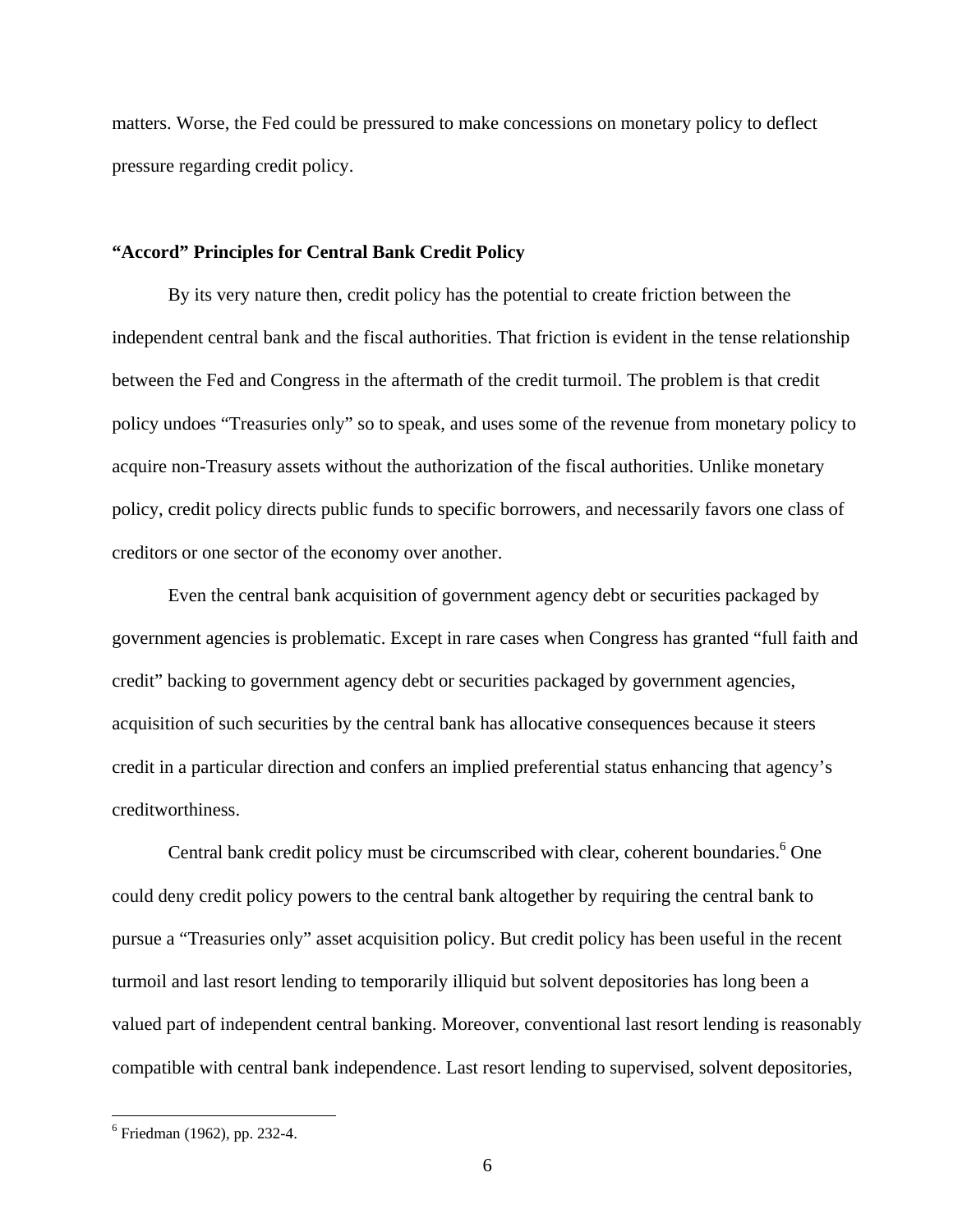matters. Worse, the Fed could be pressured to make concessions on monetary policy to deflect pressure regarding credit policy.

# **"Accord" Principles for Central Bank Credit Policy**

By its very nature then, credit policy has the potential to create friction between the independent central bank and the fiscal authorities. That friction is evident in the tense relationship between the Fed and Congress in the aftermath of the credit turmoil. The problem is that credit policy undoes "Treasuries only" so to speak, and uses some of the revenue from monetary policy to acquire non-Treasury assets without the authorization of the fiscal authorities. Unlike monetary policy, credit policy directs public funds to specific borrowers, and necessarily favors one class of creditors or one sector of the economy over another.

Even the central bank acquisition of government agency debt or securities packaged by government agencies is problematic. Except in rare cases when Congress has granted "full faith and credit" backing to government agency debt or securities packaged by government agencies, acquisition of such securities by the central bank has allocative consequences because it steers credit in a particular direction and confers an implied preferential status enhancing that agency's creditworthiness.

Central bank credit policy must be circumscribed with clear, coherent boundaries.<sup>6</sup> One could deny credit policy powers to the central bank altogether by requiring the central bank to pursue a "Treasuries only" asset acquisition policy. But credit policy has been useful in the recent turmoil and last resort lending to temporarily illiquid but solvent depositories has long been a valued part of independent central banking. Moreover, conventional last resort lending is reasonably compatible with central bank independence. Last resort lending to supervised, solvent depositories,

<sup>6</sup> Friedman (1962), pp. 232-4.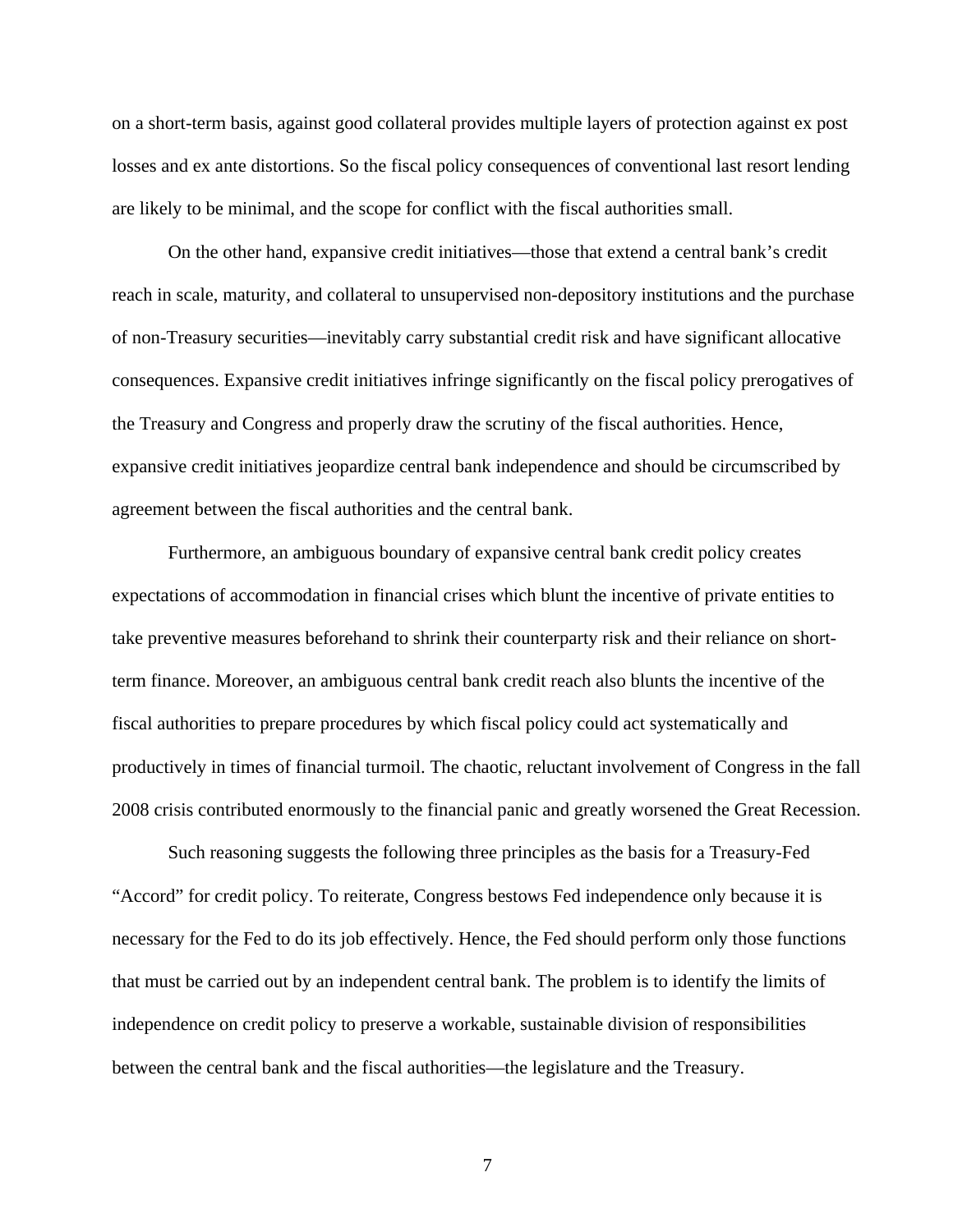on a short-term basis, against good collateral provides multiple layers of protection against ex post losses and ex ante distortions. So the fiscal policy consequences of conventional last resort lending are likely to be minimal, and the scope for conflict with the fiscal authorities small.

On the other hand, expansive credit initiatives—those that extend a central bank's credit reach in scale, maturity, and collateral to unsupervised non-depository institutions and the purchase of non-Treasury securities—inevitably carry substantial credit risk and have significant allocative consequences. Expansive credit initiatives infringe significantly on the fiscal policy prerogatives of the Treasury and Congress and properly draw the scrutiny of the fiscal authorities. Hence, expansive credit initiatives jeopardize central bank independence and should be circumscribed by agreement between the fiscal authorities and the central bank.

Furthermore, an ambiguous boundary of expansive central bank credit policy creates expectations of accommodation in financial crises which blunt the incentive of private entities to take preventive measures beforehand to shrink their counterparty risk and their reliance on shortterm finance. Moreover, an ambiguous central bank credit reach also blunts the incentive of the fiscal authorities to prepare procedures by which fiscal policy could act systematically and productively in times of financial turmoil. The chaotic, reluctant involvement of Congress in the fall 2008 crisis contributed enormously to the financial panic and greatly worsened the Great Recession.

Such reasoning suggests the following three principles as the basis for a Treasury-Fed "Accord" for credit policy. To reiterate, Congress bestows Fed independence only because it is necessary for the Fed to do its job effectively. Hence, the Fed should perform only those functions that must be carried out by an independent central bank. The problem is to identify the limits of independence on credit policy to preserve a workable, sustainable division of responsibilities between the central bank and the fiscal authorities—the legislature and the Treasury.

7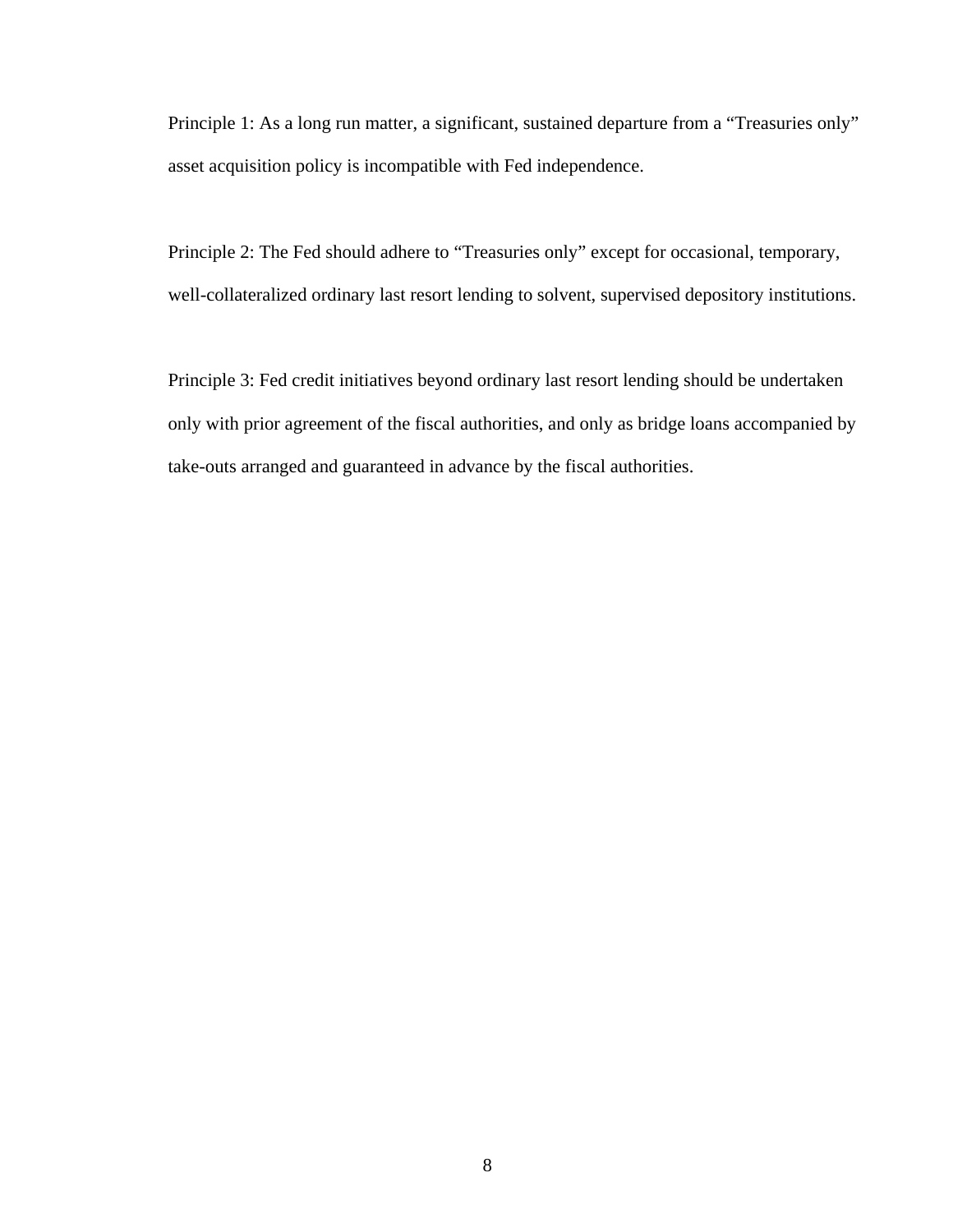Principle 1: As a long run matter, a significant, sustained departure from a "Treasuries only" asset acquisition policy is incompatible with Fed independence.

Principle 2: The Fed should adhere to "Treasuries only" except for occasional, temporary, well-collateralized ordinary last resort lending to solvent, supervised depository institutions.

Principle 3: Fed credit initiatives beyond ordinary last resort lending should be undertaken only with prior agreement of the fiscal authorities, and only as bridge loans accompanied by take-outs arranged and guaranteed in advance by the fiscal authorities.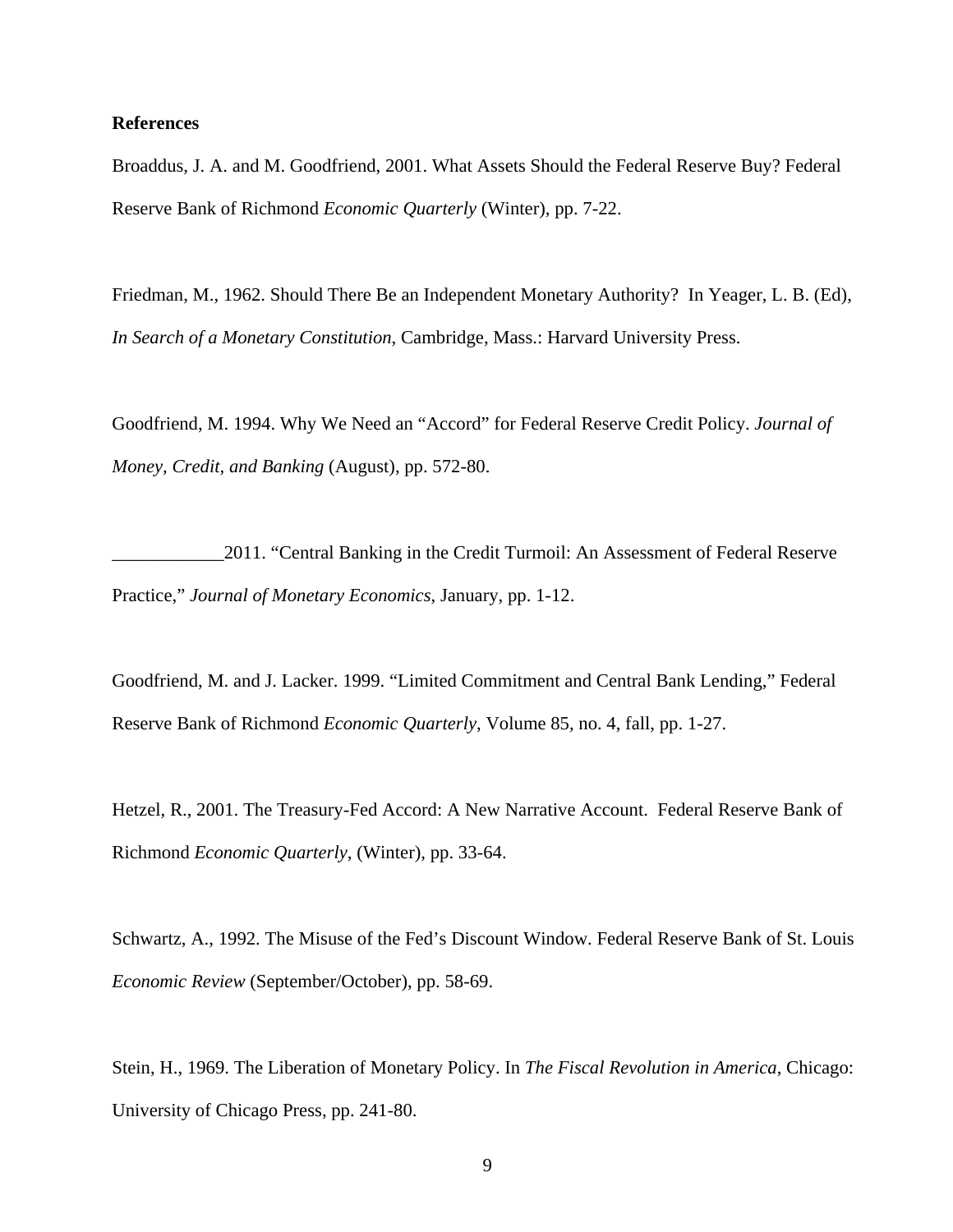## **References**

Broaddus, J. A. and M. Goodfriend, 2001. What Assets Should the Federal Reserve Buy? Federal Reserve Bank of Richmond *Economic Quarterly* (Winter), pp. 7-22.

Friedman, M., 1962. Should There Be an Independent Monetary Authority? In Yeager, L. B. (Ed), *In Search of a Monetary Constitution*, Cambridge, Mass.: Harvard University Press.

Goodfriend, M. 1994. Why We Need an "Accord" for Federal Reserve Credit Policy. *Journal of Money, Credit, and Banking* (August), pp. 572-80.

\_\_\_\_\_\_\_\_\_\_\_\_2011. "Central Banking in the Credit Turmoil: An Assessment of Federal Reserve Practice," *Journal of Monetary Economics*, January, pp. 1-12.

Goodfriend, M. and J. Lacker. 1999. "Limited Commitment and Central Bank Lending," Federal Reserve Bank of Richmond *Economic Quarterly*, Volume 85, no. 4, fall, pp. 1-27.

Hetzel, R., 2001. The Treasury-Fed Accord: A New Narrative Account. Federal Reserve Bank of Richmond *Economic Quarterly*, (Winter), pp. 33-64.

Schwartz, A., 1992. The Misuse of the Fed's Discount Window. Federal Reserve Bank of St. Louis *Economic Review* (September/October), pp. 58-69.

Stein, H., 1969. The Liberation of Monetary Policy. In *The Fiscal Revolution in America*, Chicago: University of Chicago Press, pp. 241-80.